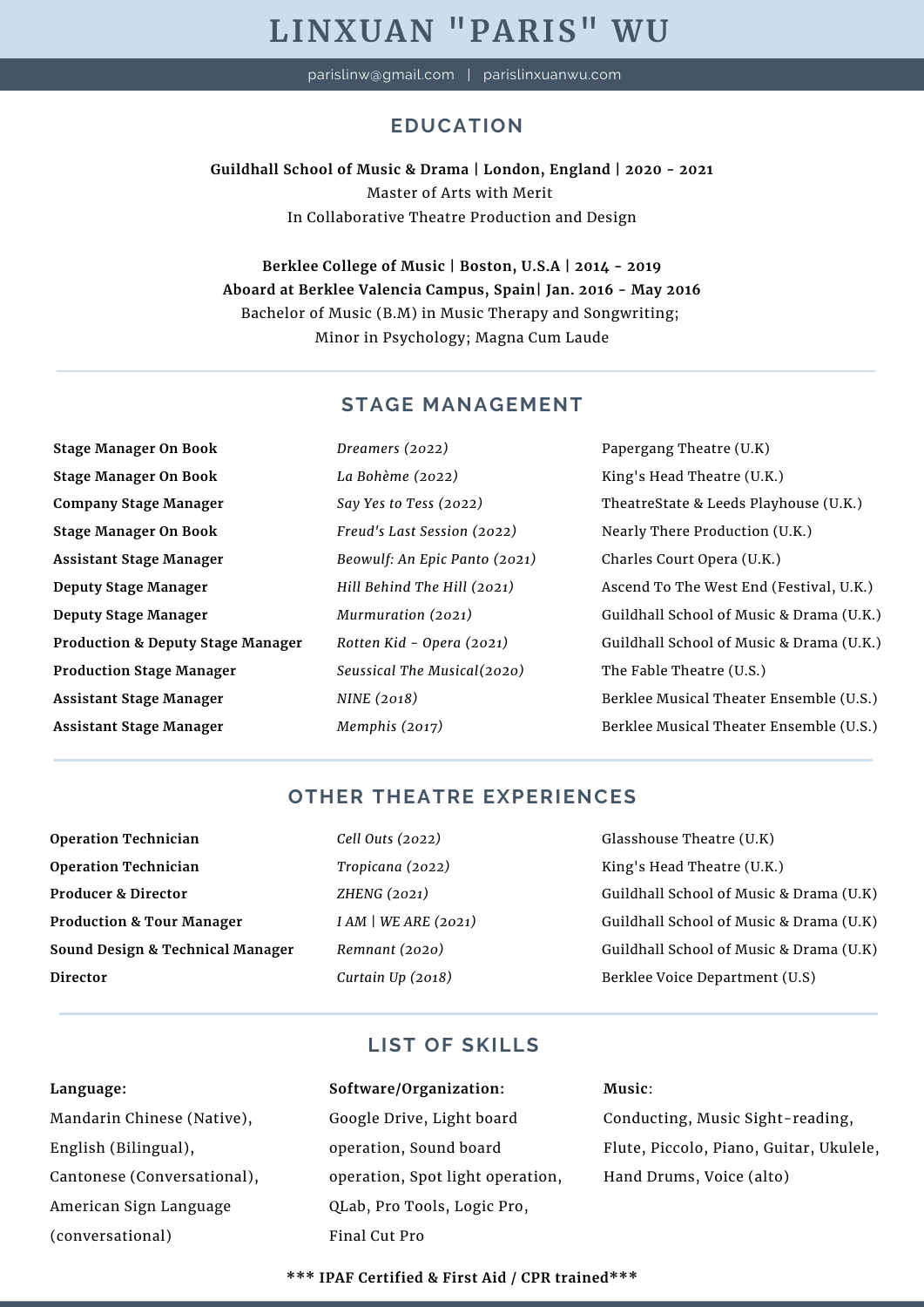# **LINXUAN "PARIS" WU**

parislinw@gmail.com | parislinxuanwu.com

# **EDUCATION**

**Guildhall School of Music & Drama | London, England | 2020 - 2021** Master of Arts with Merit In Collaborative Theatre Production and Design

**Berklee College of Music | Boston, U.S.A | 2014 - 2019 Aboard at Berklee Valencia Campus, Spain| Jan. 2016 - May 2016** Bachelor of Music (B.M) in Music Therapy and Songwriting; Minor in Psychology; Magna Cum Laude

## **STAGE MANAGEMENT**

**Stage Manager On Book Stage Manager On Book Company Stage Manager Stage Manager On Book Assistant Stage Manager Deputy Stage Manager Deputy Stage Manager Production & Deputy Stage Manager Production Stage Manager Assistant Stage Manager Assistant Stage Manager**

*Dreamers (2022) La Bohème (2022) Say Yes to Tess (2022) Freud's Last Session (2022) Beowulf: An Epic Panto (2021) Hill Behind The Hill (2021) Murmuration (2021) Rotten Kid - Opera (2021) Seussical The Musical(2020) NINE (2018) Memphis (2017)*

Papergang Theatre (U.K) King's Head Theatre (U.K.) TheatreState & Leeds Playhouse (U.K.) Nearly There Production (U.K.) Charles Court Opera (U.K.) Ascend To The West End (Festival, U.K.) Guildhall School of Music & Drama (U.K.) Guildhall School of Music & Drama (U.K.) The Fable Theatre (U.S.) Berklee Musical Theater Ensemble (U.S.) Berklee Musical Theater Ensemble (U.S.)

## **OTHER THEATRE EXPERIENCES**

- **Operation Technician Operation Technician Producer & Director Production & Tour Manager Sound Design & Technical Manager Director**
- *Cell Outs (2022) Tropicana (2022) ZHENG (2021) I AM | WE ARE (2021) Remnant (2020) Curtain Up (2018)*

Glasshouse Theatre (U.K) King's Head Theatre (U.K.) Guildhall School of Music & Drama (U.K) Guildhall School of Music & Drama (U.K) Guildhall School of Music & Drama (U.K) Berklee Voice Department (U.S)

# **LIST OF SKILLS**

**Language:**

Mandarin Chinese (Native), English (Bilingual), Cantonese (Conversational), American Sign Language (conversational)

# **Software/Organization:** Google Drive, Light board operation, Sound board operation, Spot light operation, QLab, Pro Tools, Logic Pro, Final Cut Pro

#### **Music**:

Conducting, Music Sight-reading, Flute, Piccolo, Piano, Guitar, Ukulele, Hand Drums, Voice (alto)

**\*\*\* IPAF Certified & First Aid / CPR trained\*\*\***